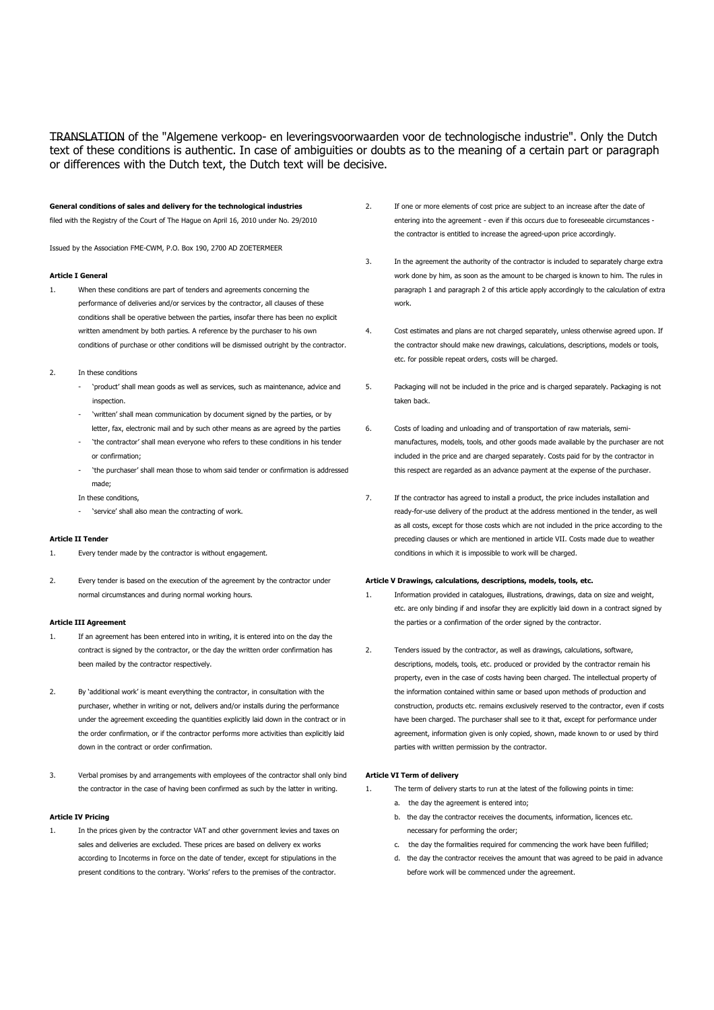### General conditions of sales and delivery for the technological industries filed with the Registry of the Court of The Hague on April 16, 2010 under No. 29/2010

Issued by the Association FME-CWM, P.O. Box 190, 2700 AD ZOETERMEER

### Article I General

- 1. When these conditions are part of tenders and agreements concerning the performance of deliveries and/or services by the contractor, all clauses of these conditions shall be operative between the parties, insofar there has been no explicit written amendment by both parties. A reference by the purchaser to his own conditions of purchase or other conditions will be dismissed outright by the contractor.
- 2. In these conditions
	- 'product' shall mean goods as well as services, such as maintenance, advice and inspection.
	- 'written' shall mean communication by document signed by the parties, or by letter, fax, electronic mail and by such other means as are agreed by the parties
	- 'the contractor' shall mean everyone who refers to these conditions in his tender or confirmation;
	- 'the purchaser' shall mean those to whom said tender or confirmation is addressed made;

In these conditions,

'service' shall also mean the contracting of work.

### Article II Tender

- 1. Every tender made by the contractor is without engagement.
- 2. Every tender is based on the execution of the agreement by the contractor under normal circumstances and during normal working hours.

## Article III Agreement

- 1. If an agreement has been entered into in writing, it is entered into on the day the contract is signed by the contractor, or the day the written order confirmation has been mailed by the contractor respectively.
- 2. By 'additional work' is meant everything the contractor, in consultation with the purchaser, whether in writing or not, delivers and/or installs during the performance under the agreement exceeding the quantities explicitly laid down in the contract or in the order confirmation, or if the contractor performs more activities than explicitly laid down in the contract or order confirmation.
- 3. Verbal promises by and arrangements with employees of the contractor shall only bind the contractor in the case of having been confirmed as such by the latter in writing.

#### Article IV Pricing

1. In the prices given by the contractor VAT and other government levies and taxes on sales and deliveries are excluded. These prices are based on delivery ex works according to Incoterms in force on the date of tender, except for stipulations in the present conditions to the contrary. 'Works' refers to the premises of the contractor.

- 2. If one or more elements of cost price are subject to an increase after the date of entering into the agreement - even if this occurs due to foreseeable circumstances the contractor is entitled to increase the agreed-upon price accordingly.
- 3. In the agreement the authority of the contractor is included to separately charge extra work done by him, as soon as the amount to be charged is known to him. The rules in paragraph 1 and paragraph 2 of this article apply accordingly to the calculation of extra work.
- 4. Cost estimates and plans are not charged separately, unless otherwise agreed upon. If the contractor should make new drawings, calculations, descriptions, models or tools, etc. for possible repeat orders, costs will be charged.
- 5. Packaging will not be included in the price and is charged separately. Packaging is not taken back.
- 6. Costs of loading and unloading and of transportation of raw materials, semimanufactures, models, tools, and other goods made available by the purchaser are not included in the price and are charged separately. Costs paid for by the contractor in this respect are regarded as an advance payment at the expense of the purchaser.
- 7. If the contractor has agreed to install a product, the price includes installation and ready-for-use delivery of the product at the address mentioned in the tender, as well as all costs, except for those costs which are not included in the price according to the preceding clauses or which are mentioned in article VII. Costs made due to weather conditions in which it is impossible to work will be charged.

### Article V Drawings, calculations, descriptions, models, tools, etc.

- 1. Information provided in catalogues, illustrations, drawings, data on size and weight, etc. are only binding if and insofar they are explicitly laid down in a contract signed by the parties or a confirmation of the order signed by the contractor.
- 2. Tenders issued by the contractor, as well as drawings, calculations, software, descriptions, models, tools, etc. produced or provided by the contractor remain his property, even in the case of costs having been charged. The intellectual property of the information contained within same or based upon methods of production and construction, products etc. remains exclusively reserved to the contractor, even if costs have been charged. The purchaser shall see to it that, except for performance under agreement, information given is only copied, shown, made known to or used by third parties with written permission by the contractor.

### Article VI Term of delivery

- 1. The term of delivery starts to run at the latest of the following points in time:
	- a. the day the agreement is entered into;
	- b. the day the contractor receives the documents, information, licences etc. necessary for performing the order;
	- c. the day the formalities required for commencing the work have been fulfilled;
	- d. the day the contractor receives the amount that was agreed to be paid in advance before work will be commenced under the agreement.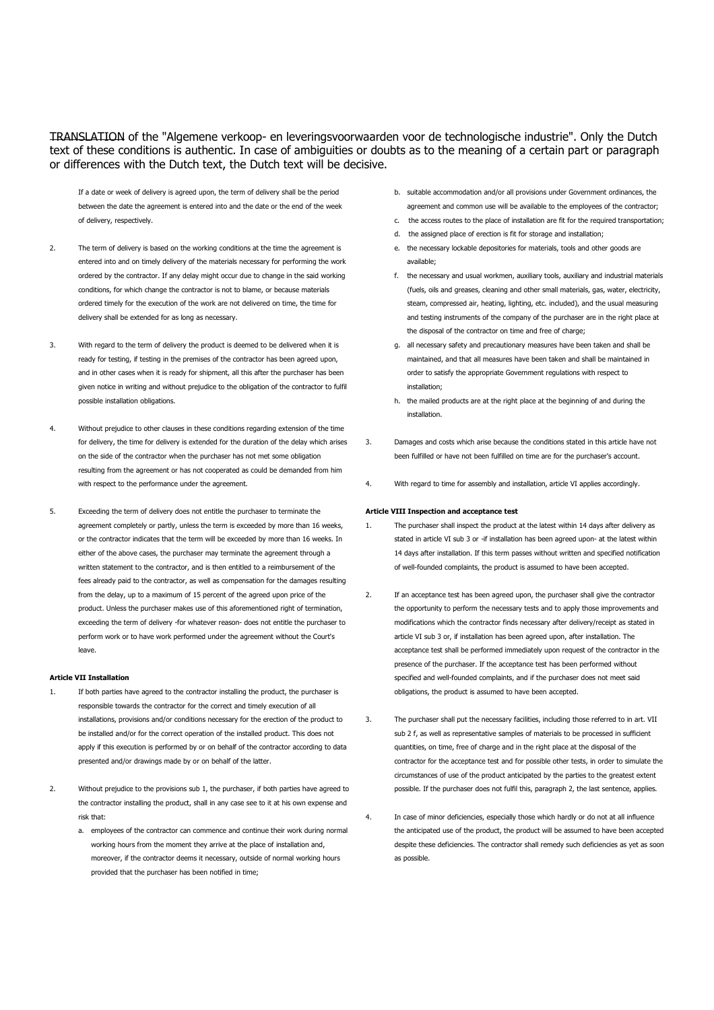If a date or week of delivery is agreed upon, the term of delivery shall be the period between the date the agreement is entered into and the date or the end of the week of delivery, respectively.

- 2. The term of delivery is based on the working conditions at the time the agreement is entered into and on timely delivery of the materials necessary for performing the work ordered by the contractor. If any delay might occur due to change in the said working conditions, for which change the contractor is not to blame, or because materials ordered timely for the execution of the work are not delivered on time, the time for delivery shall be extended for as long as necessary.
- 3. With regard to the term of delivery the product is deemed to be delivered when it is ready for testing, if testing in the premises of the contractor has been agreed upon, and in other cases when it is ready for shipment, all this after the purchaser has been given notice in writing and without prejudice to the obligation of the contractor to fulfil possible installation obligations.
- 4. Without prejudice to other clauses in these conditions regarding extension of the time for delivery, the time for delivery is extended for the duration of the delay which arises on the side of the contractor when the purchaser has not met some obligation resulting from the agreement or has not cooperated as could be demanded from him with respect to the performance under the agreement.
- 5. Exceeding the term of delivery does not entitle the purchaser to terminate the agreement completely or partly, unless the term is exceeded by more than 16 weeks, or the contractor indicates that the term will be exceeded by more than 16 weeks. In either of the above cases, the purchaser may terminate the agreement through a written statement to the contractor, and is then entitled to a reimbursement of the fees already paid to the contractor, as well as compensation for the damages resulting from the delay, up to a maximum of 15 percent of the agreed upon price of the product. Unless the purchaser makes use of this aforementioned right of termination, exceeding the term of delivery -for whatever reason- does not entitle the purchaser to perform work or to have work performed under the agreement without the Court's leave.

### Article VII Installation

- 1. If both parties have agreed to the contractor installing the product, the purchaser is responsible towards the contractor for the correct and timely execution of all installations, provisions and/or conditions necessary for the erection of the product to be installed and/or for the correct operation of the installed product. This does not apply if this execution is performed by or on behalf of the contractor according to data presented and/or drawings made by or on behalf of the latter.
- 2. Without prejudice to the provisions sub 1, the purchaser, if both parties have agreed to the contractor installing the product, shall in any case see to it at his own expense and risk that:
	- a. employees of the contractor can commence and continue their work during normal working hours from the moment they arrive at the place of installation and, moreover, if the contractor deems it necessary, outside of normal working hours provided that the purchaser has been notified in time;
- b. suitable accommodation and/or all provisions under Government ordinances, the agreement and common use will be available to the employees of the contractor;
- c. the access routes to the place of installation are fit for the required transportation;
- d. the assigned place of erection is fit for storage and installation;
- e. the necessary lockable depositories for materials, tools and other goods are available;
- f. the necessary and usual workmen, auxiliary tools, auxiliary and industrial materials (fuels, oils and greases, cleaning and other small materials, gas, water, electricity, steam, compressed air, heating, lighting, etc. included), and the usual measuring and testing instruments of the company of the purchaser are in the right place at the disposal of the contractor on time and free of charge;
- g. all necessary safety and precautionary measures have been taken and shall be maintained, and that all measures have been taken and shall be maintained in order to satisfy the appropriate Government regulations with respect to installation;
- h. the mailed products are at the right place at the beginning of and during the installation.
- 3. Damages and costs which arise because the conditions stated in this article have not been fulfilled or have not been fulfilled on time are for the purchaser's account.
- 4. With regard to time for assembly and installation, article VI applies accordingly.

### Article VIII Inspection and acceptance test

- 1. The purchaser shall inspect the product at the latest within 14 days after delivery as stated in article VI sub 3 or -if installation has been agreed upon- at the latest within 14 days after installation. If this term passes without written and specified notification of well-founded complaints, the product is assumed to have been accepted.
- 2. If an acceptance test has been agreed upon, the purchaser shall give the contractor the opportunity to perform the necessary tests and to apply those improvements and modifications which the contractor finds necessary after delivery/receipt as stated in article VI sub 3 or, if installation has been agreed upon, after installation. The acceptance test shall be performed immediately upon request of the contractor in the presence of the purchaser. If the acceptance test has been performed without specified and well-founded complaints, and if the purchaser does not meet said obligations, the product is assumed to have been accepted.
- 3. The purchaser shall put the necessary facilities, including those referred to in art. VII sub 2 f, as well as representative samples of materials to be processed in sufficient quantities, on time, free of charge and in the right place at the disposal of the contractor for the acceptance test and for possible other tests, in order to simulate the circumstances of use of the product anticipated by the parties to the greatest extent possible. If the purchaser does not fulfil this, paragraph 2, the last sentence, applies.
- 4. In case of minor deficiencies, especially those which hardly or do not at all influence the anticipated use of the product, the product will be assumed to have been accepted despite these deficiencies. The contractor shall remedy such deficiencies as yet as soon as possible.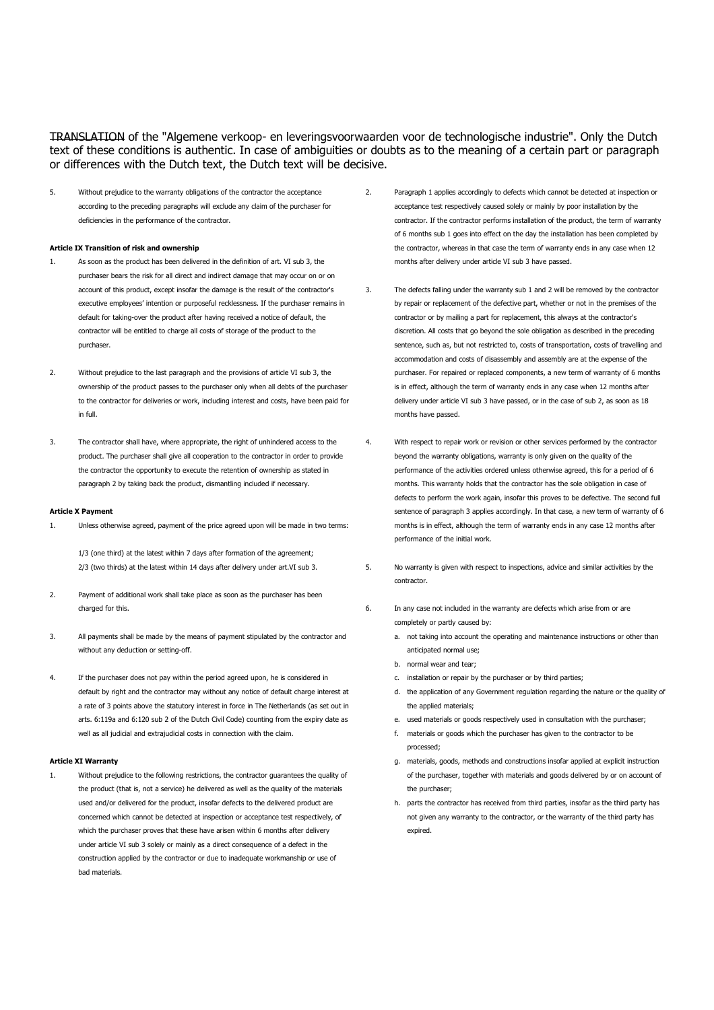5. Without prejudice to the warranty obligations of the contractor the acceptance according to the preceding paragraphs will exclude any claim of the purchaser for deficiencies in the performance of the contractor.

### Article IX Transition of risk and ownership

- 1. As soon as the product has been delivered in the definition of art. VI sub 3, the purchaser bears the risk for all direct and indirect damage that may occur on or on account of this product, except insofar the damage is the result of the contractor's executive employees' intention or purposeful recklessness. If the purchaser remains in default for taking-over the product after having received a notice of default, the contractor will be entitled to charge all costs of storage of the product to the purchaser.
- 2. Without prejudice to the last paragraph and the provisions of article VI sub 3, the ownership of the product passes to the purchaser only when all debts of the purchaser to the contractor for deliveries or work, including interest and costs, have been paid for in full.
- 3. The contractor shall have, where appropriate, the right of unhindered access to the product. The purchaser shall give all cooperation to the contractor in order to provide the contractor the opportunity to execute the retention of ownership as stated in paragraph 2 by taking back the product, dismantling included if necessary.

### Article X Payment

1. Unless otherwise agreed, payment of the price agreed upon will be made in two terms:

 1/3 (one third) at the latest within 7 days after formation of the agreement; 2/3 (two thirds) at the latest within 14 days after delivery under art.VI sub 3.

- 2. Payment of additional work shall take place as soon as the purchaser has been charged for this.
- 3. All payments shall be made by the means of payment stipulated by the contractor and without any deduction or setting-off.
- 4. If the purchaser does not pay within the period agreed upon, he is considered in default by right and the contractor may without any notice of default charge interest at a rate of 3 points above the statutory interest in force in The Netherlands (as set out in arts. 6:119a and 6:120 sub 2 of the Dutch Civil Code) counting from the expiry date as well as all judicial and extrajudicial costs in connection with the claim.

### Article XI Warranty

1. Without prejudice to the following restrictions, the contractor guarantees the quality of the product (that is, not a service) he delivered as well as the quality of the materials used and/or delivered for the product, insofar defects to the delivered product are concerned which cannot be detected at inspection or acceptance test respectively, of which the purchaser proves that these have arisen within 6 months after delivery under article VI sub 3 solely or mainly as a direct consequence of a defect in the construction applied by the contractor or due to inadequate workmanship or use of bad materials.

- 2. Paragraph 1 applies accordingly to defects which cannot be detected at inspection or acceptance test respectively caused solely or mainly by poor installation by the contractor. If the contractor performs installation of the product, the term of warranty of 6 months sub 1 goes into effect on the day the installation has been completed by the contractor, whereas in that case the term of warranty ends in any case when 12 months after delivery under article VI sub 3 have passed.
- 3. The defects falling under the warranty sub 1 and 2 will be removed by the contractor by repair or replacement of the defective part, whether or not in the premises of the contractor or by mailing a part for replacement, this always at the contractor's discretion. All costs that go beyond the sole obligation as described in the preceding sentence, such as, but not restricted to, costs of transportation, costs of travelling and accommodation and costs of disassembly and assembly are at the expense of the purchaser. For repaired or replaced components, a new term of warranty of 6 months is in effect, although the term of warranty ends in any case when 12 months after delivery under article VI sub 3 have passed, or in the case of sub 2, as soon as 18 months have passed.
- 4. With respect to repair work or revision or other services performed by the contractor beyond the warranty obligations, warranty is only given on the quality of the performance of the activities ordered unless otherwise agreed, this for a period of 6 months. This warranty holds that the contractor has the sole obligation in case of defects to perform the work again, insofar this proves to be defective. The second full sentence of paragraph 3 applies accordingly. In that case, a new term of warranty of 6 months is in effect, although the term of warranty ends in any case 12 months after performance of the initial work.
- 5. No warranty is given with respect to inspections, advice and similar activities by the contractor.
- 6. In any case not included in the warranty are defects which arise from or are completely or partly caused by:
	- a. not taking into account the operating and maintenance instructions or other than anticipated normal use;
	- b. normal wear and tear;
	- c. installation or repair by the purchaser or by third parties;
	- d. the application of any Government regulation regarding the nature or the quality of the applied materials;
	- e. used materials or goods respectively used in consultation with the purchaser;
	- f. materials or goods which the purchaser has given to the contractor to be processed;
	- g. materials, goods, methods and constructions insofar applied at explicit instruction of the purchaser, together with materials and goods delivered by or on account of the purchaser;
	- h. parts the contractor has received from third parties, insofar as the third party has not given any warranty to the contractor, or the warranty of the third party has expired.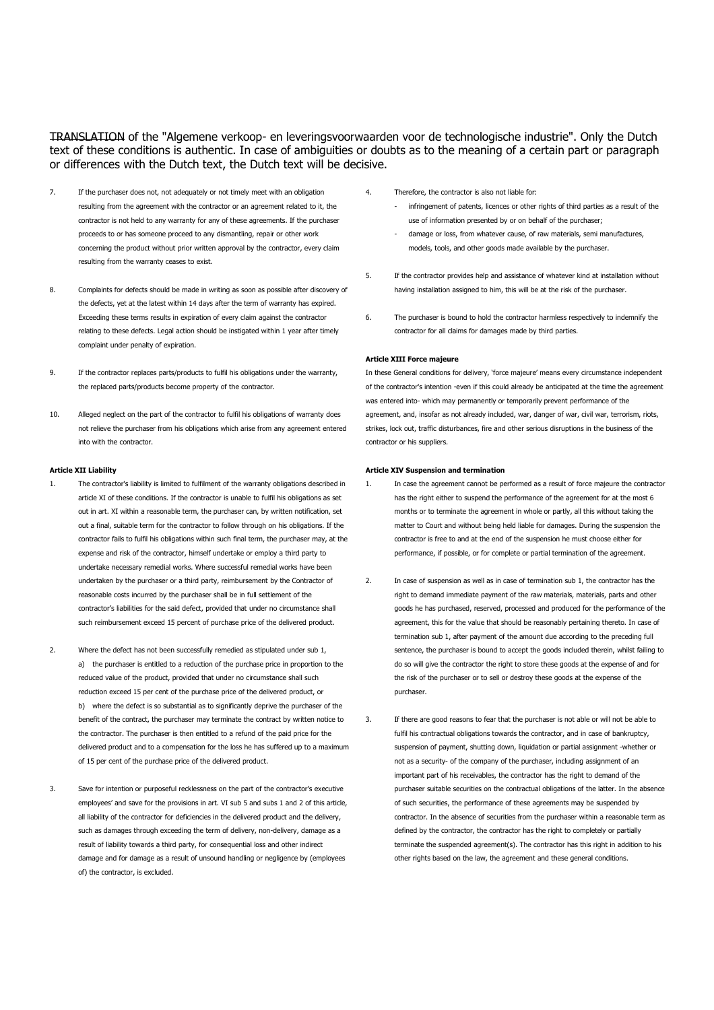- 7. If the purchaser does not, not adequately or not timely meet with an obligation resulting from the agreement with the contractor or an agreement related to it, the contractor is not held to any warranty for any of these agreements. If the purchaser proceeds to or has someone proceed to any dismantling, repair or other work concerning the product without prior written approval by the contractor, every claim resulting from the warranty ceases to exist.
- 8. Complaints for defects should be made in writing as soon as possible after discovery of the defects, yet at the latest within 14 days after the term of warranty has expired. Exceeding these terms results in expiration of every claim against the contractor relating to these defects. Legal action should be instigated within 1 year after timely complaint under penalty of expiration.
- 9. If the contractor replaces parts/products to fulfil his obligations under the warranty, the replaced parts/products become property of the contractor.
- 10. Alleged neglect on the part of the contractor to fulfil his obligations of warranty does not relieve the purchaser from his obligations which arise from any agreement entered into with the contractor.

### Article XII Liability

- 1. The contractor's liability is limited to fulfilment of the warranty obligations described in article XI of these conditions. If the contractor is unable to fulfil his obligations as set out in art. XI within a reasonable term, the purchaser can, by written notification, set out a final, suitable term for the contractor to follow through on his obligations. If the contractor fails to fulfil his obligations within such final term, the purchaser may, at the expense and risk of the contractor, himself undertake or employ a third party to undertake necessary remedial works. Where successful remedial works have been undertaken by the purchaser or a third party, reimbursement by the Contractor of reasonable costs incurred by the purchaser shall be in full settlement of the contractor's liabilities for the said defect, provided that under no circumstance shall such reimbursement exceed 15 percent of purchase price of the delivered product.
- 2. Where the defect has not been successfully remedied as stipulated under sub 1, a) the purchaser is entitled to a reduction of the purchase price in proportion to the reduced value of the product, provided that under no circumstance shall such reduction exceed 15 per cent of the purchase price of the delivered product, or b) where the defect is so substantial as to significantly deprive the purchaser of the benefit of the contract, the purchaser may terminate the contract by written notice to the contractor. The purchaser is then entitled to a refund of the paid price for the delivered product and to a compensation for the loss he has suffered up to a maximum of 15 per cent of the purchase price of the delivered product.
- 3. Save for intention or purposeful recklessness on the part of the contractor's executive employees' and save for the provisions in art. VI sub 5 and subs 1 and 2 of this article, all liability of the contractor for deficiencies in the delivered product and the delivery, such as damages through exceeding the term of delivery, non-delivery, damage as a result of liability towards a third party, for consequential loss and other indirect damage and for damage as a result of unsound handling or negligence by (employees of) the contractor, is excluded.
- 4. Therefore, the contractor is also not liable for:
	- infringement of patents, licences or other rights of third parties as a result of the use of information presented by or on behalf of the purchaser;
	- damage or loss, from whatever cause, of raw materials, semi manufactures, models, tools, and other goods made available by the purchaser.
- 5. If the contractor provides help and assistance of whatever kind at installation without having installation assigned to him, this will be at the risk of the purchaser.
- 6. The purchaser is bound to hold the contractor harmless respectively to indemnify the contractor for all claims for damages made by third parties.

### Article XIII Force majeure

In these General conditions for delivery, 'force majeure' means every circumstance independent of the contractor's intention -even if this could already be anticipated at the time the agreement was entered into- which may permanently or temporarily prevent performance of the agreement, and, insofar as not already included, war, danger of war, civil war, terrorism, riots, strikes, lock out, traffic disturbances, fire and other serious disruptions in the business of the contractor or his suppliers.

### Article XIV Suspension and termination

- 1. In case the agreement cannot be performed as a result of force majeure the contractor has the right either to suspend the performance of the agreement for at the most 6 months or to terminate the agreement in whole or partly, all this without taking the matter to Court and without being held liable for damages. During the suspension the contractor is free to and at the end of the suspension he must choose either for performance, if possible, or for complete or partial termination of the agreement.
- 2. In case of suspension as well as in case of termination sub 1, the contractor has the right to demand immediate payment of the raw materials, materials, parts and other goods he has purchased, reserved, processed and produced for the performance of the agreement, this for the value that should be reasonably pertaining thereto. In case of termination sub 1, after payment of the amount due according to the preceding full sentence, the purchaser is bound to accept the goods included therein, whilst failing to do so will give the contractor the right to store these goods at the expense of and for the risk of the purchaser or to sell or destroy these goods at the expense of the purchaser.
- 3. If there are good reasons to fear that the purchaser is not able or will not be able to fulfil his contractual obligations towards the contractor, and in case of bankruptcy, suspension of payment, shutting down, liquidation or partial assignment -whether or not as a security- of the company of the purchaser, including assignment of an important part of his receivables, the contractor has the right to demand of the purchaser suitable securities on the contractual obligations of the latter. In the absence of such securities, the performance of these agreements may be suspended by contractor. In the absence of securities from the purchaser within a reasonable term as defined by the contractor, the contractor has the right to completely or partially terminate the suspended agreement(s). The contractor has this right in addition to his other rights based on the law, the agreement and these general conditions.